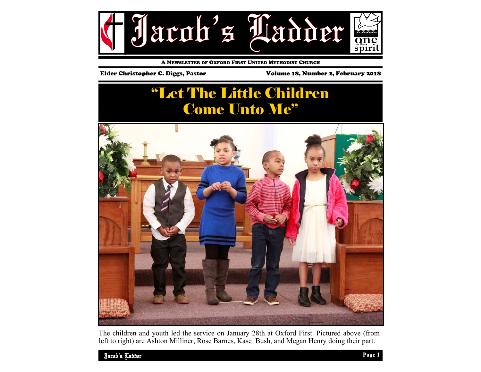

A NEWSLETTER OF OXFORD FIRST UNITED METHODIST CHURCH

Elder Christopher C. Diggs, Pastor Volume 18, Number 2, February 2018

# "Let The Little Children Come Unto Me"



The children and youth led the service on January 28th at Oxford First. Pictured above (from left to right) are Ashton Milliner, Rose Barnes, Kase Bush, and Megan Henry doing their part.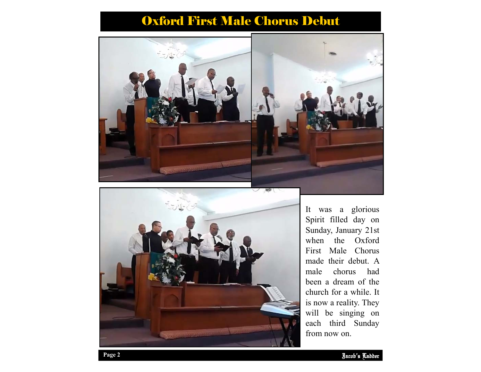## Oxford First Male Chorus Debut





each third Sunday It was a glorious Spirit filled day on Sunday, January 21st when the Oxford First Male Chorus made their debut. A male chorus had been a dream of the church for a while. It is now a reality. They will be singing on from now on.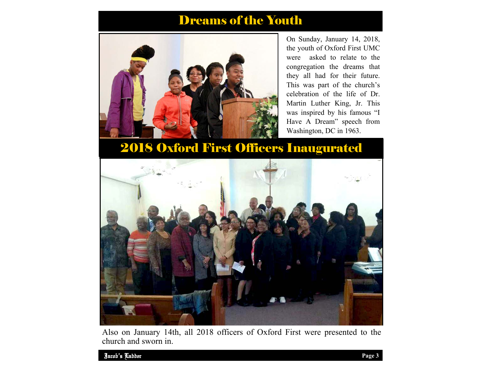#### Dreams of the Youth



On Sunday, January 14, 2018, the youth of Oxford First UMC were asked to relate to the congregation the dreams that they all had for their future. This was part of the church's celebration of the life of Dr. Martin Luther King, Jr. This was inspired by his famous "I Have A Dream" speech from Washington, DC in 1963.

### 2018 Oxford First Officers Inaugurated



Also on January 14th, all 2018 officers of Oxford First were presented to the church and sworn in.